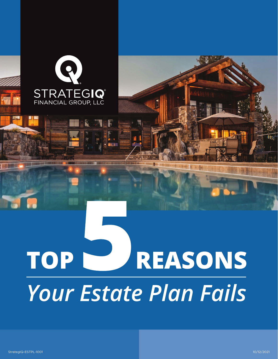

# REASONS **TOP** Your Estate Plan Fails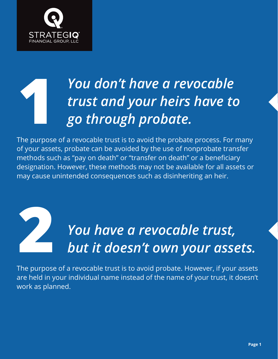

#### **1** *You don't have a revocable trust and your heirs have to go through probate.*

The purpose of a revocable trust is to avoid the probate process. For many of your assets, probate can be avoided by the use of nonprobate transfer methods such as "pay on death" or "transfer on death" or a beneficiary designation. However, these methods may not be available for all assets or may cause unintended consequences such as disinheriting an heir.

## **2** *You have a revocable trust, but it doesn't own your assets.*

The purpose of a revocable trust is to avoid probate. However, if your assets are held in your individual name instead of the name of your trust, it doesn't work as planned.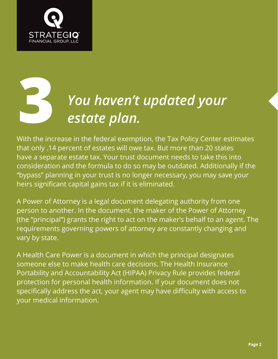

## **3** *You haven't updated your estate plan.*

With the increase in the federal exemption, the Tax Policy Center estimates that only .14 percent of estates will owe tax. But more than 20 states have a separate estate tax. Your trust document needs to take this into consideration and the formula to do so may be outdated. Additionally if the "bypass" planning in your trust is no longer necessary, you may save your heirs significant capital gains tax if it is eliminated.

A Power of Attorney is a legal document delegating authority from one person to another. In the document, the maker of the Power of Attorney (the "principal") grants the right to act on the maker's behalf to an agent. The requirements governing powers of attorney are constantly changing and vary by state.

A Health Care Power is a document in which the principal designates someone else to make health care decisions. The Health Insurance Portability and Accountability Act (HIPAA) Privacy Rule provides federal protection for personal health information. If your document does not specifically address the act, your agent may have difficulty with access to your medical information.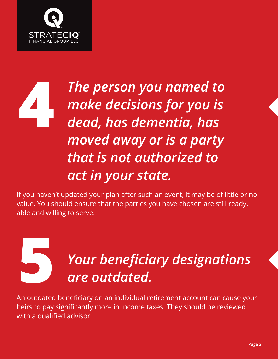

#### **4** *The person you named to make decisions for you is dead, has dementia, has moved away or is a party that is not authorized to act in your state.*

If you haven't updated your plan after such an event, it may be of little or no value. You should ensure that the parties you have chosen are still ready, able and willing to serve.

## **5** *Your beneficiary designations are outdated.*

An outdated beneficiary on an individual retirement account can cause your heirs to pay significantly more in income taxes. They should be reviewed with a qualified advisor.